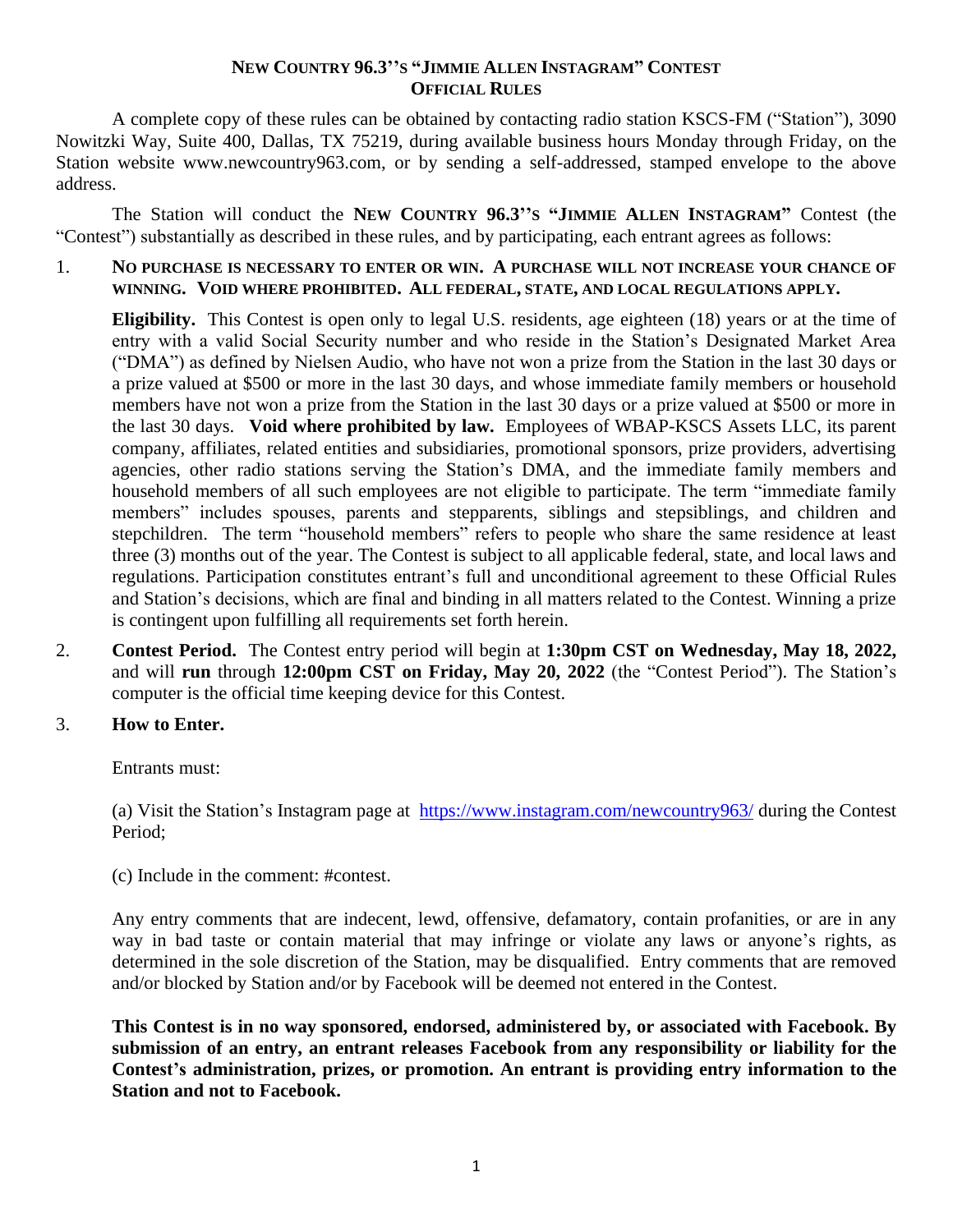## **NEW COUNTRY 96.3''S "JIMMIE ALLEN INSTAGRAM" CONTEST OFFICIAL RULES**

A complete copy of these rules can be obtained by contacting radio station KSCS-FM ("Station"), 3090 Nowitzki Way, Suite 400, Dallas, TX 75219, during available business hours Monday through Friday, on the Station website www.newcountry963.com, or by sending a self-addressed, stamped envelope to the above address.

The Station will conduct the **NEW COUNTRY 96.3''S "JIMMIE ALLEN INSTAGRAM"** Contest (the "Contest") substantially as described in these rules, and by participating, each entrant agrees as follows:

1. **NO PURCHASE IS NECESSARY TO ENTER OR WIN. A PURCHASE WILL NOT INCREASE YOUR CHANCE OF WINNING. VOID WHERE PROHIBITED. ALL FEDERAL, STATE, AND LOCAL REGULATIONS APPLY.**

**Eligibility.** This Contest is open only to legal U.S. residents, age eighteen (18) years or at the time of entry with a valid Social Security number and who reside in the Station's Designated Market Area ("DMA") as defined by Nielsen Audio, who have not won a prize from the Station in the last 30 days or a prize valued at \$500 or more in the last 30 days, and whose immediate family members or household members have not won a prize from the Station in the last 30 days or a prize valued at \$500 or more in the last 30 days. **Void where prohibited by law.** Employees of WBAP-KSCS Assets LLC, its parent company, affiliates, related entities and subsidiaries, promotional sponsors, prize providers, advertising agencies, other radio stations serving the Station's DMA, and the immediate family members and household members of all such employees are not eligible to participate. The term "immediate family members" includes spouses, parents and stepparents, siblings and stepsiblings, and children and stepchildren. The term "household members" refers to people who share the same residence at least three (3) months out of the year. The Contest is subject to all applicable federal, state, and local laws and regulations. Participation constitutes entrant's full and unconditional agreement to these Official Rules and Station's decisions, which are final and binding in all matters related to the Contest. Winning a prize is contingent upon fulfilling all requirements set forth herein.

2. **Contest Period.** The Contest entry period will begin at **1:30pm CST on Wednesday, May 18, 2022,** and will **run** through **12:00pm CST on Friday, May 20, 2022** (the "Contest Period"). The Station's computer is the official time keeping device for this Contest.

## 3. **How to Enter.**

Entrants must:

(a) Visit the Station's Instagram page at <https://www.instagram.com/newcountry963/> during the Contest Period;

(c) Include in the comment: #contest.

Any entry comments that are indecent, lewd, offensive, defamatory, contain profanities, or are in any way in bad taste or contain material that may infringe or violate any laws or anyone's rights, as determined in the sole discretion of the Station, may be disqualified. Entry comments that are removed and/or blocked by Station and/or by Facebook will be deemed not entered in the Contest.

**This Contest is in no way sponsored, endorsed, administered by, or associated with Facebook. By submission of an entry, an entrant releases Facebook from any responsibility or liability for the Contest's administration, prizes, or promotion. An entrant is providing entry information to the Station and not to Facebook.**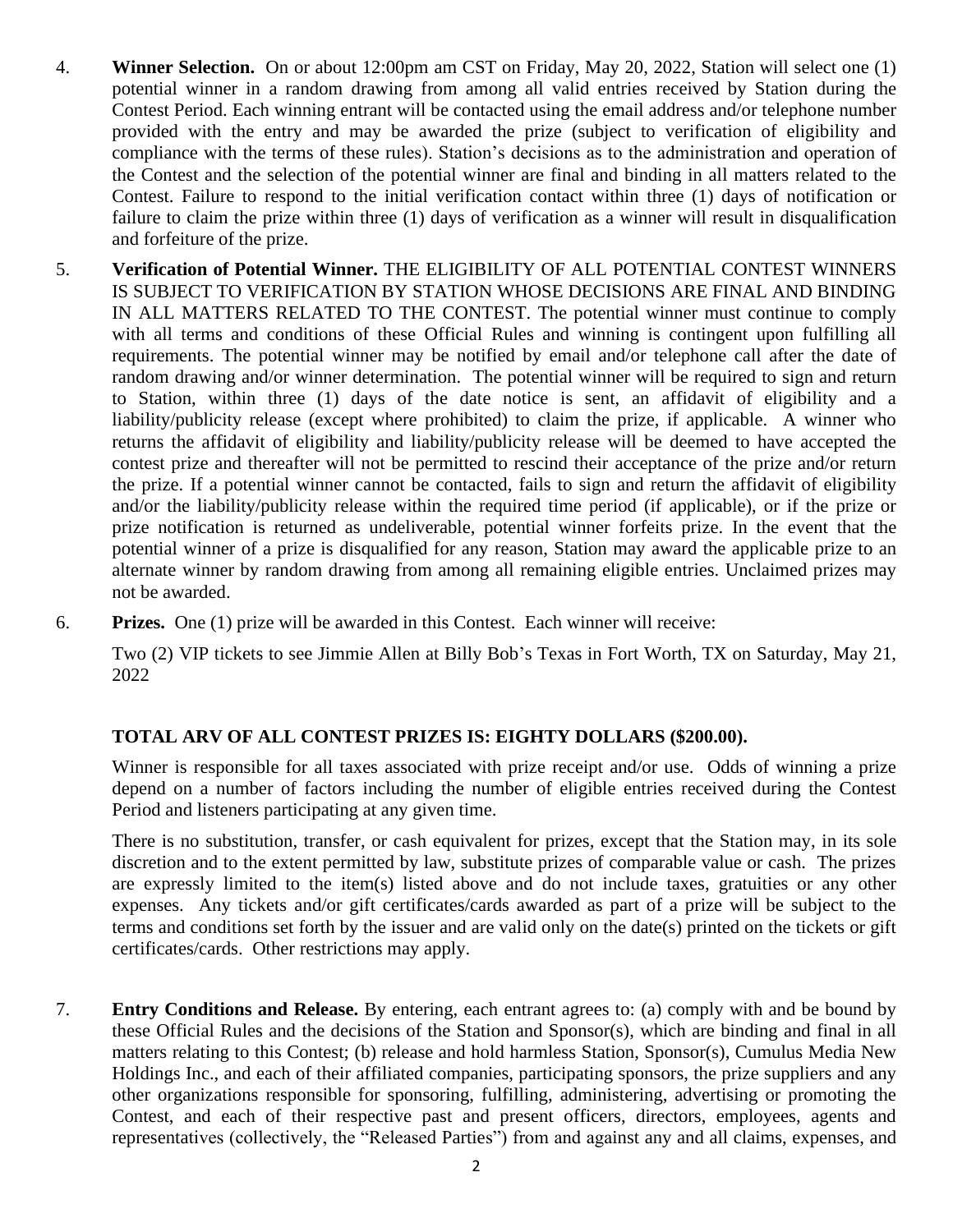- 4. **Winner Selection.** On or about 12:00pm am CST on Friday, May 20, 2022, Station will select one (1) potential winner in a random drawing from among all valid entries received by Station during the Contest Period. Each winning entrant will be contacted using the email address and/or telephone number provided with the entry and may be awarded the prize (subject to verification of eligibility and compliance with the terms of these rules). Station's decisions as to the administration and operation of the Contest and the selection of the potential winner are final and binding in all matters related to the Contest. Failure to respond to the initial verification contact within three (1) days of notification or failure to claim the prize within three (1) days of verification as a winner will result in disqualification and forfeiture of the prize.
- 5. **Verification of Potential Winner.** THE ELIGIBILITY OF ALL POTENTIAL CONTEST WINNERS IS SUBJECT TO VERIFICATION BY STATION WHOSE DECISIONS ARE FINAL AND BINDING IN ALL MATTERS RELATED TO THE CONTEST. The potential winner must continue to comply with all terms and conditions of these Official Rules and winning is contingent upon fulfilling all requirements. The potential winner may be notified by email and/or telephone call after the date of random drawing and/or winner determination. The potential winner will be required to sign and return to Station, within three (1) days of the date notice is sent, an affidavit of eligibility and a liability/publicity release (except where prohibited) to claim the prize, if applicable. A winner who returns the affidavit of eligibility and liability/publicity release will be deemed to have accepted the contest prize and thereafter will not be permitted to rescind their acceptance of the prize and/or return the prize. If a potential winner cannot be contacted, fails to sign and return the affidavit of eligibility and/or the liability/publicity release within the required time period (if applicable), or if the prize or prize notification is returned as undeliverable, potential winner forfeits prize. In the event that the potential winner of a prize is disqualified for any reason, Station may award the applicable prize to an alternate winner by random drawing from among all remaining eligible entries. Unclaimed prizes may not be awarded.
- 6. **Prizes.** One (1) prize will be awarded in this Contest. Each winner will receive:

Two (2) VIP tickets to see Jimmie Allen at Billy Bob's Texas in Fort Worth, TX on Saturday, May 21, 2022

## **TOTAL ARV OF ALL CONTEST PRIZES IS: EIGHTY DOLLARS (\$200.00).**

Winner is responsible for all taxes associated with prize receipt and/or use. Odds of winning a prize depend on a number of factors including the number of eligible entries received during the Contest Period and listeners participating at any given time.

There is no substitution, transfer, or cash equivalent for prizes, except that the Station may, in its sole discretion and to the extent permitted by law, substitute prizes of comparable value or cash. The prizes are expressly limited to the item(s) listed above and do not include taxes, gratuities or any other expenses. Any tickets and/or gift certificates/cards awarded as part of a prize will be subject to the terms and conditions set forth by the issuer and are valid only on the date(s) printed on the tickets or gift certificates/cards. Other restrictions may apply.

7. **Entry Conditions and Release.** By entering, each entrant agrees to: (a) comply with and be bound by these Official Rules and the decisions of the Station and Sponsor(s), which are binding and final in all matters relating to this Contest; (b) release and hold harmless Station, Sponsor(s), Cumulus Media New Holdings Inc., and each of their affiliated companies, participating sponsors, the prize suppliers and any other organizations responsible for sponsoring, fulfilling, administering, advertising or promoting the Contest, and each of their respective past and present officers, directors, employees, agents and representatives (collectively, the "Released Parties") from and against any and all claims, expenses, and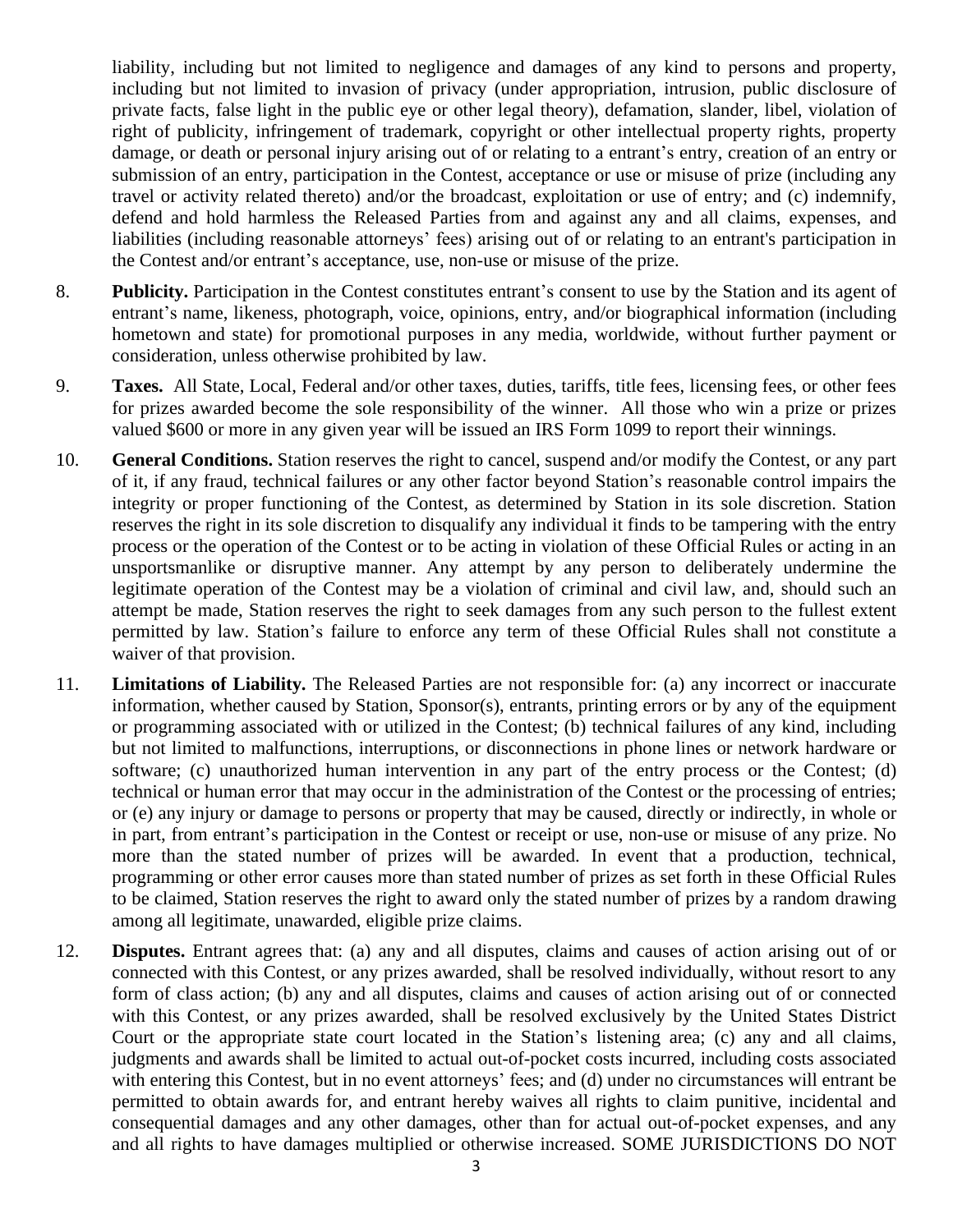liability, including but not limited to negligence and damages of any kind to persons and property, including but not limited to invasion of privacy (under appropriation, intrusion, public disclosure of private facts, false light in the public eye or other legal theory), defamation, slander, libel, violation of right of publicity, infringement of trademark, copyright or other intellectual property rights, property damage, or death or personal injury arising out of or relating to a entrant's entry, creation of an entry or submission of an entry, participation in the Contest, acceptance or use or misuse of prize (including any travel or activity related thereto) and/or the broadcast, exploitation or use of entry; and (c) indemnify, defend and hold harmless the Released Parties from and against any and all claims, expenses, and liabilities (including reasonable attorneys' fees) arising out of or relating to an entrant's participation in the Contest and/or entrant's acceptance, use, non-use or misuse of the prize.

- 8. **Publicity.** Participation in the Contest constitutes entrant's consent to use by the Station and its agent of entrant's name, likeness, photograph, voice, opinions, entry, and/or biographical information (including hometown and state) for promotional purposes in any media, worldwide, without further payment or consideration, unless otherwise prohibited by law.
- 9. **Taxes.** All State, Local, Federal and/or other taxes, duties, tariffs, title fees, licensing fees, or other fees for prizes awarded become the sole responsibility of the winner. All those who win a prize or prizes valued \$600 or more in any given year will be issued an IRS Form 1099 to report their winnings.
- 10. **General Conditions.** Station reserves the right to cancel, suspend and/or modify the Contest, or any part of it, if any fraud, technical failures or any other factor beyond Station's reasonable control impairs the integrity or proper functioning of the Contest, as determined by Station in its sole discretion. Station reserves the right in its sole discretion to disqualify any individual it finds to be tampering with the entry process or the operation of the Contest or to be acting in violation of these Official Rules or acting in an unsportsmanlike or disruptive manner. Any attempt by any person to deliberately undermine the legitimate operation of the Contest may be a violation of criminal and civil law, and, should such an attempt be made, Station reserves the right to seek damages from any such person to the fullest extent permitted by law. Station's failure to enforce any term of these Official Rules shall not constitute a waiver of that provision.
- 11. **Limitations of Liability.** The Released Parties are not responsible for: (a) any incorrect or inaccurate information, whether caused by Station, Sponsor(s), entrants, printing errors or by any of the equipment or programming associated with or utilized in the Contest; (b) technical failures of any kind, including but not limited to malfunctions, interruptions, or disconnections in phone lines or network hardware or software; (c) unauthorized human intervention in any part of the entry process or the Contest; (d) technical or human error that may occur in the administration of the Contest or the processing of entries; or (e) any injury or damage to persons or property that may be caused, directly or indirectly, in whole or in part, from entrant's participation in the Contest or receipt or use, non-use or misuse of any prize. No more than the stated number of prizes will be awarded. In event that a production, technical, programming or other error causes more than stated number of prizes as set forth in these Official Rules to be claimed, Station reserves the right to award only the stated number of prizes by a random drawing among all legitimate, unawarded, eligible prize claims.
- 12. **Disputes.** Entrant agrees that: (a) any and all disputes, claims and causes of action arising out of or connected with this Contest, or any prizes awarded, shall be resolved individually, without resort to any form of class action; (b) any and all disputes, claims and causes of action arising out of or connected with this Contest, or any prizes awarded, shall be resolved exclusively by the United States District Court or the appropriate state court located in the Station's listening area; (c) any and all claims, judgments and awards shall be limited to actual out-of-pocket costs incurred, including costs associated with entering this Contest, but in no event attorneys' fees; and (d) under no circumstances will entrant be permitted to obtain awards for, and entrant hereby waives all rights to claim punitive, incidental and consequential damages and any other damages, other than for actual out-of-pocket expenses, and any and all rights to have damages multiplied or otherwise increased. SOME JURISDICTIONS DO NOT